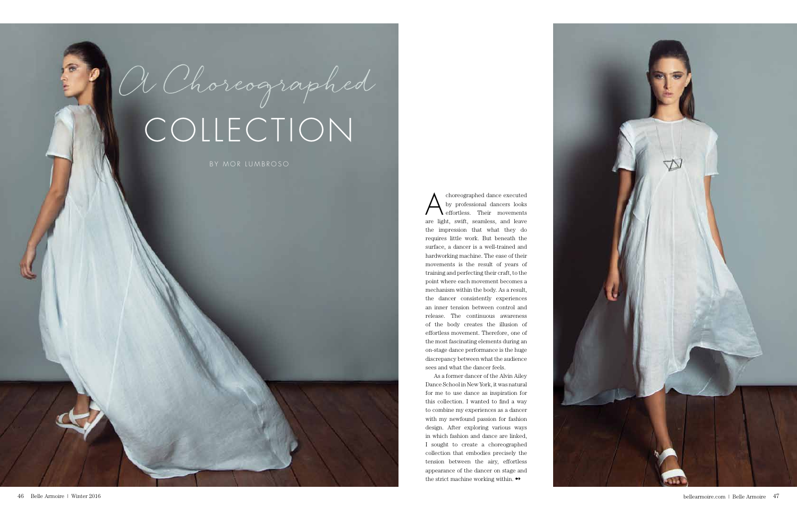A choreographed dance executed<br>by professional dancers looks<br>effortless. Their movements by professional dancers looks effortless. Their movements are light, swift, seamless, and leave the impression that what they do requires little work. But beneath the surface, a dancer is a well-trained and hardworking machine. The ease of their movements is the result of years of training and perfecting their craft, to the point where each movement becomes a mechanism within the body. As a result, the dancer consistently experiences an inner tension between control and release. The continuous awareness of the body creates the illusion of effortless movement. Therefore, one of the most fascinating elements during an on-stage dance performance is the huge discrepancy between what the audience sees and what the dancer feels.

As a former dancer of the Alvin Ailey Dance School in New York, it was natural for me to use dance as inspiration for this collection. I wanted to find a way to combine my experiences as a dancer with my newfound passion for fashion design. After exploring various ways in which fashion and dance are linked, I sought to create a choreographed collection that embodies precisely the tension between the airy, effortless appearance of the dancer on stage and the strict machine working within.  $\rightarrow$ 



## COLLECTION

A Choreographed

by mor lumbroso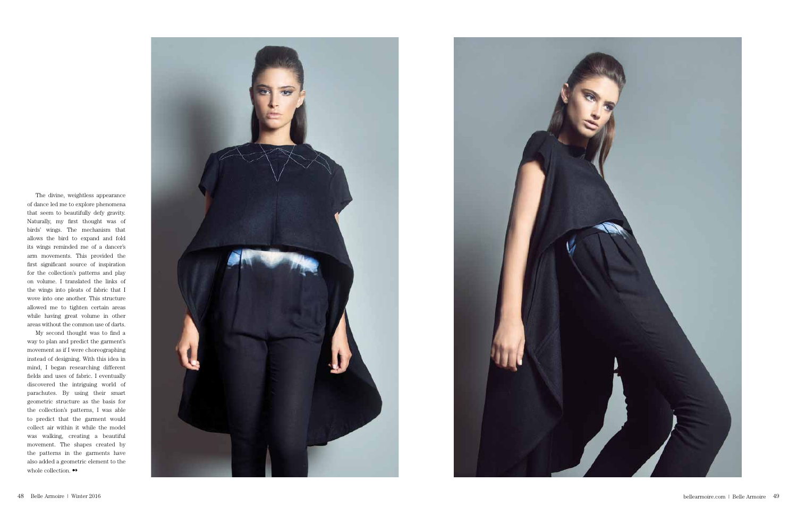

My second thought was to find a way to plan and predict the garment's movement as if I were choreographing instead of designing. With this idea in mind, I began researching different fields and uses of fabric. I eventually discovered the intriguing world of parachutes. By using their smart geometric structure as the basis for the collection's patterns, I was able to predict that the garment would collect air within it while the model was walking, creating a beautiful movement. The shapes created by the patterns in the garments have also added a geometric element to the whole collection.  $\leftrightarrow$ 



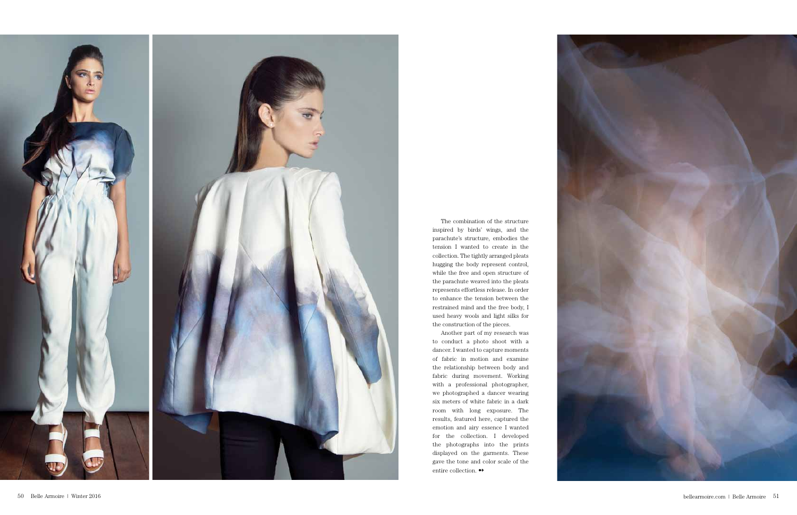

The combination of the structure inspired by birds' wings, and the parachute's structure, embodies the tension I wanted to create in the collection. The tightly arranged pleats hugging the body represent control, while the free and open structure of the parachute weaved into the pleats represents effortless release. In order to enhance the tension between the restrained mind and the free body, I used heavy wools and light silks for the construction of the pieces.

Another part of my research was to conduct a photo shoot with a dancer. I wanted to capture moments of fabric in motion and examine the relationship between body and fabric during movement. Working with a professional photographer, we photographed a dancer wearing six meters of white fabric in a dark room with long exposure. The results, featured here, captured the emotion and airy essence I wanted for the collection. I developed the photographs into the prints displayed on the garments. These gave the tone and color scale of the entire collection.  $\leftrightarrow$